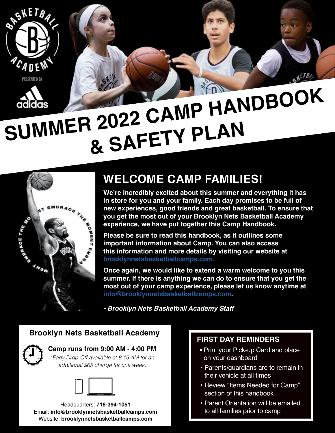



# **SUMMER 2022 CAMP HANDBOOK & SAFETY PLAN**



# **WELCOME CAMP FAMILIES!**

**We're incredibly excited about this summer and everything it has in store for you and your family. Each day promises to be full of new experiences, good friends and great basketball. To ensure that you get the most out of your Brooklyn Nets Basketball Academy experience, we have put together this Camp Handbook.**

**Please be sure to read this handbook, as it outlines some important information about Camp. You can also access this information and more details by visiting our website at brooklynnetsbasketballcamps.com.**

**Once again, we would like to extend a warm welcome to you this summer. If there is anything we can do to ensure that you get the most out of your camp experience, please let us know anytime at info@brooklynnetsbasketballcamps.com.**

*- Brooklyn Nets Basketball Academy Staff*

#### **Brooklyn Nets Basketball Academy**



**Camp runs from 9:00 AM - 4:00 PM**

*\*Early Drop-Off available at 8:15 AM for an additional \$65 charge for one week.*



Headquarters: **718-394-1051** Email: **info@brooklynnetsbasketballcamps.com** Website: **brooklynnetsbasketballcamps.com**

#### **FIRST DAY REMINDERS**

- Print your Pick-up Card and place on your dashboard
- Parents/guardians are to remain in their vehicle at all times
- Review "Items Needed for Camp" section of this handbook
- Parent Orientation will be emailed to all families prior to camp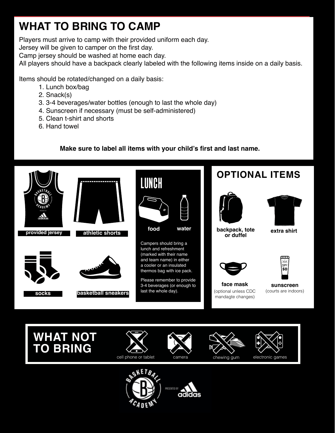# **WHAT TO BRING TO CAMP**

Players must arrive to camp with their provided uniform each day.

Jersey will be given to camper on the first day.

Camp jersey should be washed at home each day.

All players should have a backpack clearly labeled with the following items inside on a daily basis.

Items should be rotated/changed on a daily basis:

- 1. Lunch box/bag
- 2. Snack(s)
- 3. 3-4 beverages/water bottles (enough to last the whole day)
- 4. Sunscreen if necessary (must be self-administered)
- 5. Clean t-shirt and shorts
- 6. Hand towel

#### **Make sure to label all items with your child's first and last name.**



**WHAT NOT TO BRING**













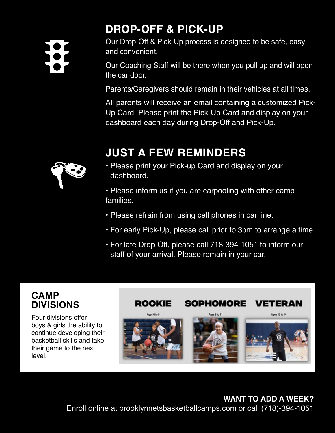# **DROP-OFF & PICK-UP**

Our Drop-Off & Pick-Up process is designed to be safe, easy and convenient.

Our Coaching Staff will be there when you pull up and will open the car door.

Parents/Caregivers should remain in their vehicles at all times.

All parents will receive an email containing a customized Pick-Up Card. Please print the Pick-Up Card and display on your dashboard each day during Drop-Off and Pick-Up.

# **JUST A FEW REMINDERS**

• Please print your Pick-up Card and display on your dashboard.

• Please inform us if you are carpooling with other camp families.

- Please refrain from using cell phones in car line.
- For early Pick-Up, please call prior to 3pm to arrange a time.
- For late Drop-Off, please call 718-394-1051 to inform our staff of your arrival. Please remain in your car.

### **CAMP DIVISIONS**

Four divisions offer boys & girls the ability to continue developing their basketball skills and take their game to the next level.



#### **WANT TO ADD A WEEK?**

Enroll online at brooklynnetsbasketballcamps.com or call (718)-394-1051

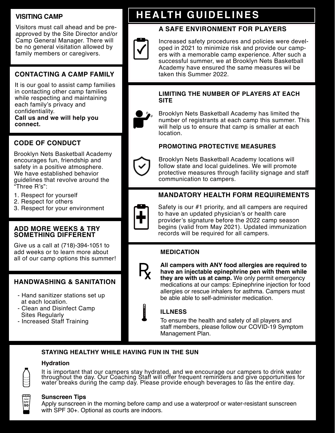## **VISITING CAMP**

Visitors must call ahead and be preapproved by the Site Director and/or Camp General Manager. There will be no general visitation allowed by family members or caregivers.

# **CONTACTING A CAMP FAMILY**

It is our goal to assist camp families in contacting other camp families while respecting and maintaining each family's privacy and confidentiality. **Call us and we will help you connect.**

**CODE OF CONDUCT**

Brooklyn Nets Basketball Academy encourages fun, friendship and safety in a positive atmosphere. We have established behavior guidelines that revolve around the "Three R's":

- 1. Respect for yourself
- 2. Respect for others
- 3. Respect for your environment

#### **ADD MORE WEEKS & TRY SOMETHING DIFFERENT**

Give us a call at (718)-394-1051 to add weeks or to learn more about all of our camp options this summer!

#### **HANDWASHING & SANITATION**

- Hand sanitizer stations set up at each location.
- Clean and Disinfect Camp Sites Regularly
- Increased Staff Training

# **HEALTH GUIDELINES**

## **A SAFE ENVIRONMENT FOR PLAYERS**



Increased safety procedures and policies were developed in 2021 to minimize risk and provide our campers with a memorable camp experience. After such a successful summer, we at Brooklyn Nets Basketball Academy have ensured the same measures wil be taken this Summer 2022.

#### **LIMITING THE NUMBER OF PLAYERS AT EACH SITE**



Brooklyn Nets Basketball Academy has limited the number of registrants at each camp this summer. This will help us to ensure that camp is smaller at each location.

#### **PROMOTING PROTECTIVE MEASURES**



Brooklyn Nets Basketball Academy locations will follow state and local guidelines. We will promote protective measures through facility signage and staff communication to campers.

#### **MANDATORY HEALTH FORM REQUIREMENTS**



Safety is our #1 priority, and all campers are required to have an updated physician's or health care provider's signature before the 2022 camp season begins (valid from May 2021). Updated immunization records will be required for all campers.

#### **MEDICATION**



**All campers with ANY food allergies are required to have an injectable epinephrine pen with them while they are with us at camp.** We only permit emergency medications at our camps: Epinephrine injection for food allergies or rescue inhalers for asthma. Campers must be able able to self-administer medication.

#### **ILLNESS**

To ensure the health and safety of all players and staff members, please follow our COVID-19 Symptom Management Plan.

#### **STAYING HEALTHY WHILE HAVING FUN IN THE SUN**

#### **Hydration**



It is important that our campers stay hydrated, and we encourage our campers to drink water throughout the day. Our Coaching Staff will offer frequent reminders and give opportunities for water breaks during the camp day. Please provide enough beverages to las the entire day.



#### **Sunscreen Tips**

Apply sunscreen in the morning before camp and use a waterproof or water-resistant sunscreen with SPF 30+. Optional as courts are indoors.